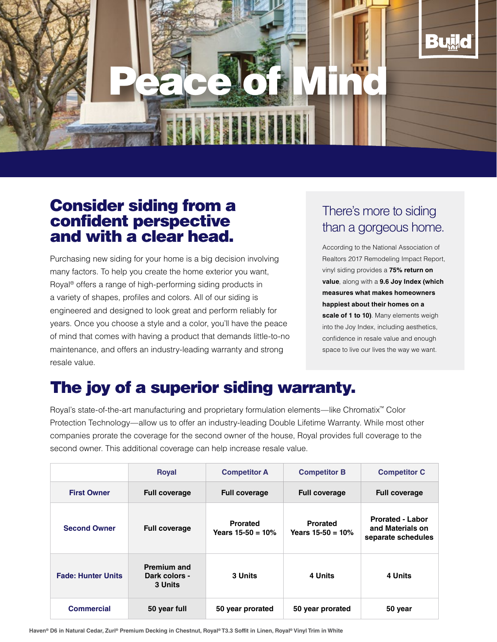

## Consider siding from a confident perspective and with a clear head.

Purchasing new siding for your home is a big decision involving many factors. To help you create the home exterior you want, Royal® offers a range of high-performing siding products in a variety of shapes, profiles and colors. All of our siding is engineered and designed to look great and perform reliably for years. Once you choose a style and a color, you'll have the peace of mind that comes with having a product that demands little-to-no maintenance, and offers an industry-leading warranty and strong resale value.

## There's more to siding than a gorgeous home.

According to the National Association of Realtors 2017 Remodeling Impact Report, vinyl siding provides a **75% return on value**, along with a **9.6 Joy Index (which measures what makes homeowners happiest about their homes on a scale of 1 to 10)**. Many elements weigh into the Joy Index, including aesthetics, confidence in resale value and enough space to live our lives the way we want.

## The joy of a superior siding warranty.

Royal's state-of-the-art manufacturing and proprietary formulation elements—like Chromatix™ Color Protection Technology—allow us to offer an industry-leading Double Lifetime Warranty. While most other companies prorate the coverage for the second owner of the house, Royal provides full coverage to the second owner. This additional coverage can help increase resale value.

|                           | <b>Royal</b>                                   | <b>Competitor A</b>                    | <b>Competitor B</b>                    | <b>Competitor C</b>                                               |
|---------------------------|------------------------------------------------|----------------------------------------|----------------------------------------|-------------------------------------------------------------------|
| <b>First Owner</b>        | <b>Full coverage</b>                           | <b>Full coverage</b>                   | <b>Full coverage</b>                   | <b>Full coverage</b>                                              |
| <b>Second Owner</b>       | <b>Full coverage</b>                           | <b>Prorated</b><br>Years $15-50 = 10%$ | <b>Prorated</b><br>Years $15-50 = 10%$ | <b>Prorated - Labor</b><br>and Materials on<br>separate schedules |
| <b>Fade: Hunter Units</b> | <b>Premium and</b><br>Dark colors -<br>3 Units | 3 Units                                | 4 Units                                | 4 Units                                                           |
| <b>Commercial</b>         | 50 year full                                   | 50 year prorated                       | 50 year prorated                       | 50 year                                                           |